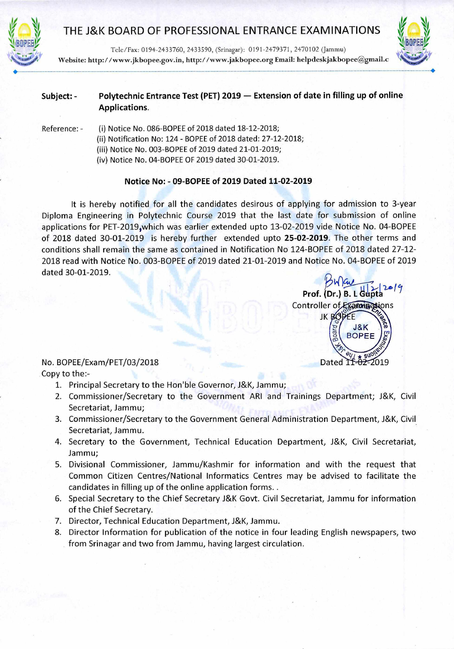

## THE J&K BOARD OF PROFESSIONAL ENTRANCE EXAMINATIONS



Tele/Fax: 0194-2433760, 2433590, (Srinagar): 0191-2479371, 2470102 (Jammu) Website: http://www.jkbopee.gov.in, http://www.jakbopee.orgEmail: helpdeskjakbopee@gmail.c

## **Subject: - Polytechnic Entrance Test (PET) 2019 — Extension of date in filling up of online Applications.**

Reference: - (i) Notice No. 086-BOPEE of 2018 dated 18-12-2018; (ii) Notification No: 124 - BOPEE of 2018 dated: 27-12-2018; (iii) Notice No. 003-BOPEE of 2019 dated 21-01-2019; (iv) Notice No. 04-BOPEE OF 2019 dated 30-01-2019.

## **Notice No: - 09-BOPEE of 2019 Dated 11-02-2019**

It is hereby notified for all the candidates desirous of applying for admission to 3-year Diploma Engineering in Polytechnic Course 2019 that the last date for submission of online applications for PET-2019,which was earlier extended upto 13-02-2019 vide Notice No. 04-BOPEE of 2018 dated 30-01-2019 is hereby further extended upto **25-02-2019.** The other terms and conditions shall remain the same as contained in Notification No 124-BOPEE of 2018 dated 27-12- 2018 read with Notice No. 003-BOPEE of 2019 dated 21-01-2019 and Notice No. 04-BOPEE of 2019 dated 30-01-2019.

## No. BOPEE/Exam/PET/03/2018 Copy to the:-

- 1. Principal Secretary to the Hon'ble Governor, J&K, Jammu;
- 2. Commissioner/Secretary to the Government ARI and Trainings Department; J&K, Civil Secretariat, Jammu;
- 3. Commissioner/Secretary to the Government General Administration Department, J&K, Civil Secretariat, Jammu.
- 4. Secretary to the Government, Technical Education Department, J&K, Civil Secretariat, Jammu;
- 5. Divisional Commissioner, Jammu/Kashmir for information and with the request that Common Citizen Centres/National Informatics Centres may be advised to facilitate the candidates in filling up of the online application forms..
- 6. Special Secretary to the Chief Secretary J&K Govt. Civil Secretariat, Jammu for information of the Chief Secretary.
- 7. Director, Technical Education Department, J&K, Jammu.
- 8. Director Information for publication of the notice in four leading English newspapers, two from Srinagar and two from Jammu, having largest circulation.